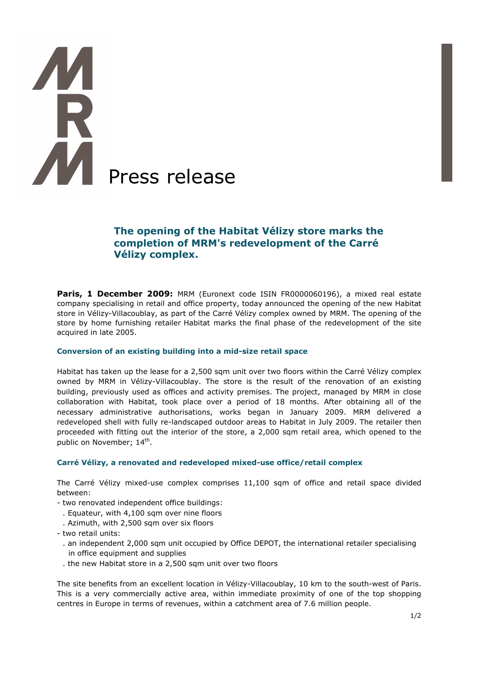# **A** Press release

# **The opening of the Habitat Vélizy store marks the completion of MRM's redevelopment of the Carré Vélizy complex.**

Paris, 1 December 2009: MRM (Euronext code ISIN FR0000060196), a mixed real estate company specialising in retail and office property, today announced the opening of the new Habitat store in Vélizy-Villacoublay, as part of the Carré Vélizy complex owned by MRM. The opening of the store by home furnishing retailer Habitat marks the final phase of the redevelopment of the site acquired in late 2005.

# **Conversion of an existing building into a mid-size retail space**

Habitat has taken up the lease for a 2,500 sqm unit over two floors within the Carré Vélizy complex owned by MRM in Vélizy-Villacoublay. The store is the result of the renovation of an existing building, previously used as offices and activity premises. The project, managed by MRM in close collaboration with Habitat, took place over a period of 18 months. After obtaining all of the necessary administrative authorisations, works began in January 2009. MRM delivered a redeveloped shell with fully re-landscaped outdoor areas to Habitat in July 2009. The retailer then proceeded with fitting out the interior of the store, a 2,000 sqm retail area, which opened to the public on November; 14<sup>th</sup>.

# **Carré Vélizy, a renovated and redeveloped mixed-use office/retail complex**

The Carré Vélizy mixed-use complex comprises 11,100 sqm of office and retail space divided between:

- two renovated independent office buildings:
- . Equateur, with 4,100 sqm over nine floors
- . Azimuth, with 2,500 sqm over six floors
- two retail units:
	- . an independent 2,000 sqm unit occupied by Office DEPOT, the international retailer specialising in office equipment and supplies
	- . the new Habitat store in a 2,500 sqm unit over two floors

The site benefits from an excellent location in Vélizy-Villacoublay, 10 km to the south-west of Paris. This is a very commercially active area, within immediate proximity of one of the top shopping centres in Europe in terms of revenues, within a catchment area of 7.6 million people.